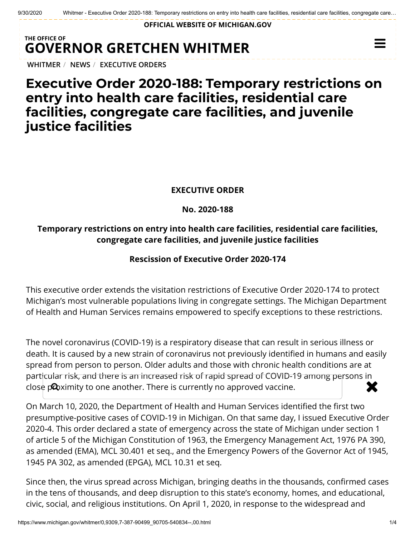**OFFICIAL WEBSITE OF [MICHIGAN.GOV](https://www.michigan.gov/)**

## **THE OFFICE OF GOVERNOR [GRETCHEN WHITMER](https://www.michigan.gov/whitmer/)**

**[WHITMER](https://www.michigan.gov/whitmer/)** / **[NEWS](https://www.michigan.gov/whitmer/0,9309,7-387-90499---,00.html)** / **[EXECUTIVE ORDERS](https://www.michigan.gov/whitmer/0,9309,7-387-90499_90705---,00.html)**

# **Executive Order 2020-188: Temporary restrictions on entry into health care facilities, residential care facilities, congregate care facilities, and juvenile justice facilities**

### **EXECUTIVE ORDER**

### **No. 2020-188**

### **Temporary restrictions on entry into health care facilities, residential care facilities, congregate care facilities, and juvenile justice facilities**

### **Rescission of Executive Order 2020-174**

This executive order extends the visitation restrictions of Executive Order 2020-174 to protect Michigan's most vulnerable populations living in congregate settings. The Michigan Department of Health and Human Services remains empowered to specify exceptions to these restrictions.

The novel coronavirus (COVID-19) is a respiratory disease that can result in serious illness or death. It is caused by a new strain of coronavirus not previously identified in humans and easily spread from person to person. Older adults and those with chronic health conditions are at particular risk, and there is an increased risk of rapid spread of COVID-19 among persons in close proximity to one another. There is currently no approved vaccine.

On March 10, 2020, the Department of Health and Human Services identified the first two presumptive-positive cases of COVID-19 in Michigan. On that same day, I issued Executive Order 2020-4. This order declared a state of emergency across the state of Michigan under section 1 of article 5 of the Michigan Constitution of 1963, the Emergency Management Act, 1976 PA 390, as amended (EMA), MCL 30.401 et seq., and the Emergency Powers of the Governor Act of 1945, 1945 PA 302, as amended (EPGA), MCL 10.31 et seq.

Since then, the virus spread across Michigan, bringing deaths in the thousands, confirmed cases in the tens of thousands, and deep disruption to this state's economy, homes, and educational, civic, social, and religious institutions. On April 1, 2020, in response to the widespread and

 $\equiv$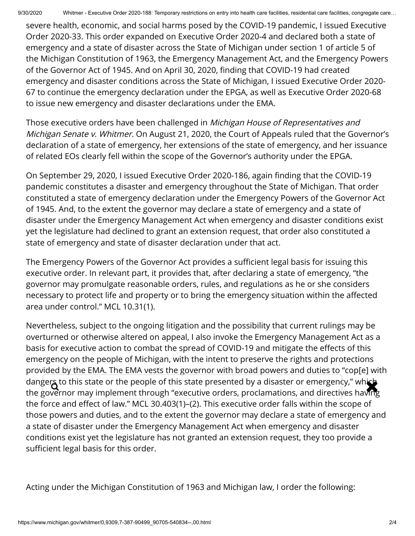severe health, economic, and social harms posed by the COVID-19 pandemic, I issued Executive Order 2020-33. This order expanded on Executive Order 2020-4 and declared both a state of emergency and a state of disaster across the State of Michigan under section 1 of article 5 of the Michigan Constitution of 1963, the Emergency Management Act, and the Emergency Powers of the Governor Act of 1945. And on April 30, 2020, finding that COVID-19 had created emergency and disaster conditions across the State of Michigan, I issued Executive Order 2020- 67 to continue the emergency declaration under the EPGA, as well as Executive Order 2020-68 to issue new emergency and disaster declarations under the EMA.

Those executive orders have been challenged in Michigan House of Representatives and Michigan Senate v. Whitmer. On August 21, 2020, the Court of Appeals ruled that the Governor's declaration of a state of emergency, her extensions of the state of emergency, and her issuance of related EOs clearly fell within the scope of the Governor's authority under the EPGA.

On September 29, 2020, I issued Executive Order 2020-186, again finding that the COVID-19 pandemic constitutes a disaster and emergency throughout the State of Michigan. That order constituted a state of emergency declaration under the Emergency Powers of the Governor Act of 1945. And, to the extent the governor may declare a state of emergency and a state of disaster under the Emergency Management Act when emergency and disaster conditions exist yet the legislature had declined to grant an extension request, that order also constituted a state of emergency and state of disaster declaration under that act.

The Emergency Powers of the Governor Act provides a sufficient legal basis for issuing this executive order. In relevant part, it provides that, after declaring a state of emergency, "the governor may promulgate reasonable orders, rules, and regulations as he or she considers necessary to protect life and property or to bring the emergency situation within the affected area under control." MCL 10.31(1).

Nevertheless, subject to the ongoing litigation and the possibility that current rulings may be overturned or otherwise altered on appeal, I also invoke the Emergency Management Act as a basis for executive action to combat the spread of COVID-19 and mitigate the effects of this emergency on the people of Michigan, with the intent to preserve the rights and protections provided by the EMA. The EMA vests the governor with broad powers and duties to "cop[e] with dangers to this state or the people of this state presented by a disaster or emergency," which<br>the governor may implement through "executive orders, proclamations, and directives having the governor may implement through "executive orders, proclamations, and directives having the force and effect of law." MCL 30.403(1)–(2). This executive order falls within the scope of those powers and duties, and to the extent the governor may declare a state of emergency and a state of disaster under the Emergency Management Act when emergency and disaster conditions exist yet the legislature has not granted an extension request, they too provide a sufficient legal basis for this order.

Acting under the Michigan Constitution of 1963 and Michigan law, I order the following: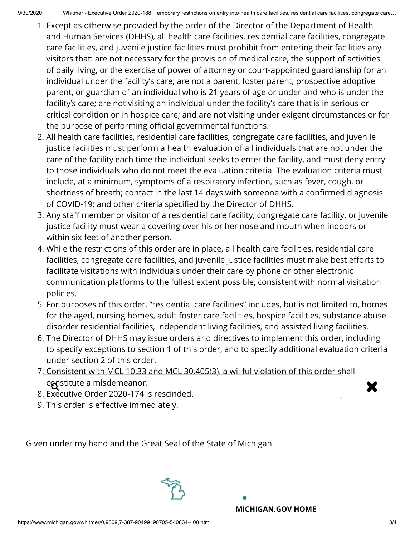- 1. Except as otherwise provided by the order of the Director of the Department of Health and Human Services (DHHS), all health care facilities, residential care facilities, congregate care facilities, and juvenile justice facilities must prohibit from entering their facilities any visitors that: are not necessary for the provision of medical care, the support of activities of daily living, or the exercise of power of attorney or court-appointed guardianship for an individual under the facility's care; are not a parent, foster parent, prospective adoptive parent, or guardian of an individual who is 21 years of age or under and who is under the facility's care; are not visiting an individual under the facility's care that is in serious or critical condition or in hospice care; and are not visiting under exigent circumstances or for the purpose of performing official governmental functions.
- 2. All health care facilities, residential care facilities, congregate care facilities, and juvenile justice facilities must perform a health evaluation of all individuals that are not under the care of the facility each time the individual seeks to enter the facility, and must deny entry to those individuals who do not meet the evaluation criteria. The evaluation criteria must include, at a minimum, symptoms of a respiratory infection, such as fever, cough, or shortness of breath; contact in the last 14 days with someone with a confirmed diagnosis of COVID-19; and other criteria specified by the Director of DHHS.
- 3. Any staff member or visitor of a residential care facility, congregate care facility, or juvenile justice facility must wear a covering over his or her nose and mouth when indoors or within six feet of another person.
- 4. While the restrictions of this order are in place, all health care facilities, residential care facilities, congregate care facilities, and juvenile justice facilities must make best efforts to facilitate visitations with individuals under their care by phone or other electronic communication platforms to the fullest extent possible, consistent with normal visitation policies.
- 5. For purposes of this order, "residential care facilities" includes, but is not limited to, homes for the aged, nursing homes, adult foster care facilities, hospice facilities, substance abuse disorder residential facilities, independent living facilities, and assisted living facilities.
- 6. The Director of DHHS may issue orders and directives to implement this order, including to specify exceptions to section 1 of this order, and to specify additional evaluation criteria under section 2 of this order.
- 7. Consistent with MCL 10.33 and MCL 30.405(3), a willful violation of this order shall constitute a misdemeanor.<br>Executive Order 2020-174 is rescinded
	-
- 8. Executive Order 2020-174 is rescinded.
- 9. This order is effective immediately.

Given under my hand and the Great Seal of the State of Michigan.